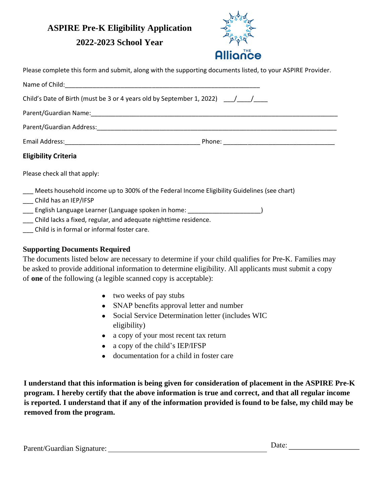# **ASPIRE Pre-K Eligibility Application**

## **2022-2023 School Year**



Please complete this form and submit, along with the supporting documents listed, to your ASPIRE Provider.

| Name of Child: Name of Child:                                                                                                                             |  |
|-----------------------------------------------------------------------------------------------------------------------------------------------------------|--|
| Child's Date of Birth (must be 3 or 4 years old by September 1, 2022) $\left($                                                                            |  |
|                                                                                                                                                           |  |
|                                                                                                                                                           |  |
|                                                                                                                                                           |  |
| <b>Eligibility Criteria</b>                                                                                                                               |  |
| Please check all that apply:                                                                                                                              |  |
| Meets household income up to 300% of the Federal Income Eligibility Guidelines (see chart)<br>Child has an IEP/IFSP                                       |  |
| English Language Learner (Language spoken in home: Language Spoken in Language Learner<br>Child lacks a fixed, regular, and adequate nighttime residence. |  |

\_\_\_ Child is in formal or informal foster care.

### **Supporting Documents Required**

The documents listed below are necessary to determine if your child qualifies for Pre-K. Families may be asked to provide additional information to determine eligibility. All applicants must submit a copy of **one** of the following (a legible scanned copy is acceptable):

- two weeks of pay stubs
- SNAP benefits approval letter and number
- Social Service Determination letter (includes WIC eligibility)
- a copy of your most recent tax return
- a copy of the child's IEP/IFSP
- documentation for a child in foster care

**I understand that this information is being given for consideration of placement in the ASPIRE Pre-K program. I hereby certify that the above information is true and correct, and that all regular income is reported. I understand that if any of the information provided is found to be false, my child may be removed from the program.** 

Parent/Guardian Signature: Date: